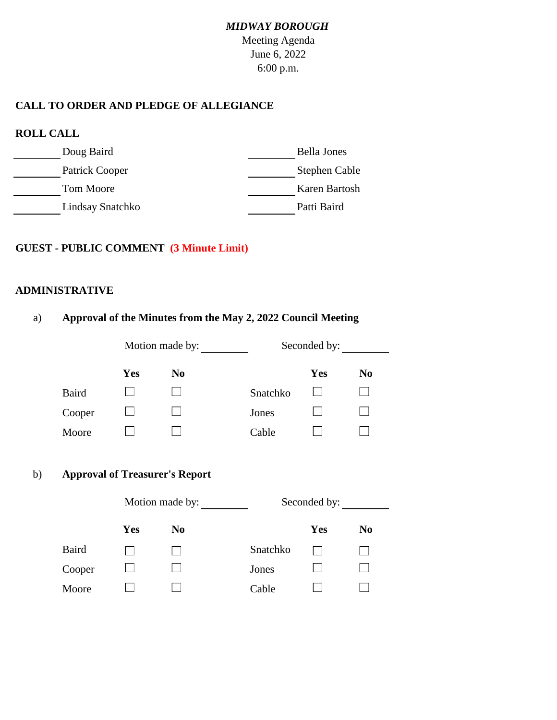# *MIDWAY BOROUGH*

Meeting Agenda June 6, 2022 6:00 p.m.

### **CALL TO ORDER AND PLEDGE OF ALLEGIANCE**

| <b>ROLL CALL</b> |                    |
|------------------|--------------------|
| Doug Baird       | <b>Bella Jones</b> |
| Patrick Cooper   | Stephen Cable      |
| Tom Moore        | Karen Bartosh      |
| Lindsay Snatchko | Patti Baird        |

### **GUEST - PUBLIC COMMENT (3 Minute Limit)**

#### **ADMINISTRATIVE**

|              |            | Motion made by:                                          |          | Seconded by: |                |
|--------------|------------|----------------------------------------------------------|----------|--------------|----------------|
|              |            |                                                          |          |              |                |
|              | Yes        | N <sub>0</sub>                                           |          | <b>Yes</b>   | N <sub>0</sub> |
| <b>Baird</b> |            |                                                          | Snatchko |              |                |
| Cooper       |            |                                                          | Jones    |              |                |
| Moore        |            |                                                          | Cable    |              |                |
|              |            | <b>Approval of Treasurer's Report</b><br>Motion made by: |          | Seconded by: |                |
|              |            |                                                          |          |              |                |
|              | <b>Yes</b> | N <sub>0</sub>                                           |          | Yes          | N <sub>0</sub> |
| <b>Baird</b> |            |                                                          | Snatchko |              |                |
| Cooper       |            |                                                          | Jones    |              |                |
| Moore        |            |                                                          | Cable    |              |                |

a) **Approval of the Minutes from the May 2, 2022 Council Meeting**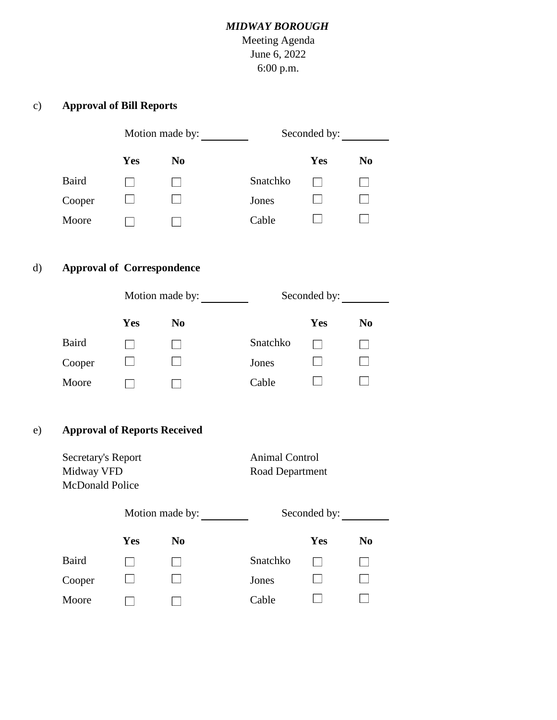## *MIDWAY BOROUGH*

Meeting Agenda June 6, 2022 6:00 p.m.

## c) **Approval of Bill Reports**

|        | Motion made by: |                |          | Seconded by: |                |  |
|--------|-----------------|----------------|----------|--------------|----------------|--|
|        | Yes             | N <sub>0</sub> |          | Yes          | N <sub>0</sub> |  |
| Baird  |                 |                | Snatchko |              |                |  |
| Cooper |                 |                | Jones    |              |                |  |
| Moore  |                 |                | Cable    |              |                |  |
|        |                 |                |          |              |                |  |

# d) **Approval of Correspondence**

|              | Motion made by: |                |          | Seconded by: |                |  |
|--------------|-----------------|----------------|----------|--------------|----------------|--|
|              | Yes             | N <sub>0</sub> |          | Yes          | N <sub>0</sub> |  |
| <b>Baird</b> |                 |                | Snatchko |              |                |  |
| Cooper       |                 |                | Jones    |              |                |  |
| Moore        |                 |                | Cable    |              |                |  |

## e) **Approval of Reports Received**

| Secretary's Report<br>Midway VFD<br>McDonald Police |     |                 | <b>Animal Control</b><br>Road Department |              |                |
|-----------------------------------------------------|-----|-----------------|------------------------------------------|--------------|----------------|
|                                                     |     | Motion made by: |                                          | Seconded by: |                |
|                                                     | Yes | N <sub>0</sub>  |                                          | Yes          | N <sub>0</sub> |
| <b>Baird</b>                                        |     |                 | Snatchko                                 |              |                |
| Cooper                                              |     |                 | Jones                                    |              |                |
| Moore                                               |     |                 | Cable                                    |              |                |